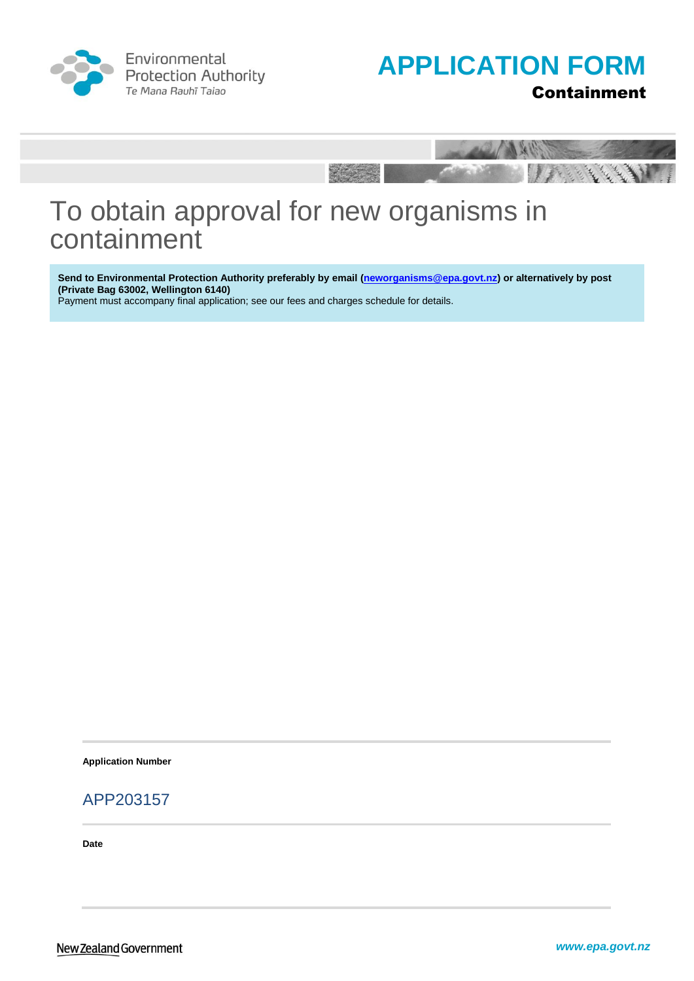

Environmental **Protection Authority** Te Mana Rauhī Taiao





# To obtain approval for new organisms in containment

**Send to Environmental Protection Authority preferably by email [\(neworganisms@epa.govt.nz\)](mailto:HSApplications@epa.govt.nz) or alternatively by post (Private Bag 63002, Wellington 6140)** 

Payment must accompany final application; see our fees and charges schedule for details.

**Application Number**

### APP203157

**Date**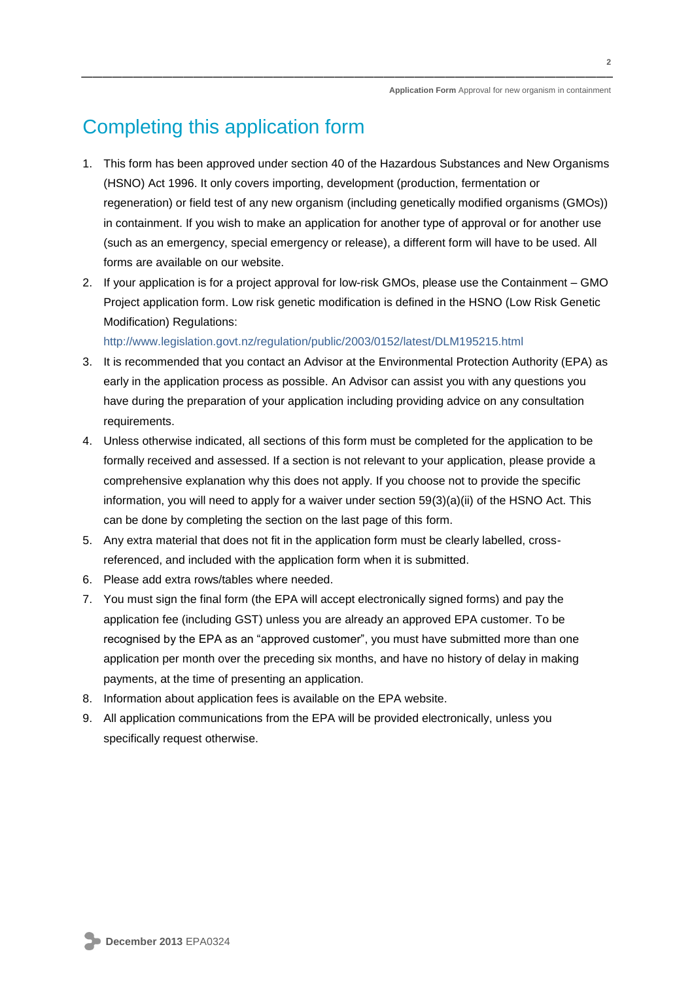# Completing this application form

- 1. This form has been approved under section 40 of the Hazardous Substances and New Organisms (HSNO) Act 1996. It only covers importing, development (production, fermentation or regeneration) or field test of any new organism (including genetically modified organisms (GMOs)) in containment. If you wish to make an application for another type of approval or for another use (such as an emergency, special emergency or release), a different form will have to be used. All forms are available on our website.
- 2. If your application is for a project approval for low-risk GMOs, please use the Containment GMO Project application form. Low risk genetic modification is defined in the HSNO (Low Risk Genetic Modification) Regulations:

<http://www.legislation.govt.nz/regulation/public/2003/0152/latest/DLM195215.html>

- 3. It is recommended that you contact an Advisor at the Environmental Protection Authority (EPA) as early in the application process as possible. An Advisor can assist you with any questions you have during the preparation of your application including providing advice on any consultation requirements.
- 4. Unless otherwise indicated, all sections of this form must be completed for the application to be formally received and assessed. If a section is not relevant to your application, please provide a comprehensive explanation why this does not apply. If you choose not to provide the specific information, you will need to apply for a waiver under section 59(3)(a)(ii) of the HSNO Act. This can be done by completing the section on the last page of this form.
- 5. Any extra material that does not fit in the application form must be clearly labelled, crossreferenced, and included with the application form when it is submitted.
- 6. Please add extra rows/tables where needed.
- 7. You must sign the final form (the EPA will accept electronically signed forms) and pay the application fee (including GST) unless you are already an approved EPA customer. To be recognised by the EPA as an "approved customer", you must have submitted more than one application per month over the preceding six months, and have no history of delay in making payments, at the time of presenting an application.
- 8. Information about application fees is available on the EPA website.
- 9. All application communications from the EPA will be provided electronically, unless you specifically request otherwise.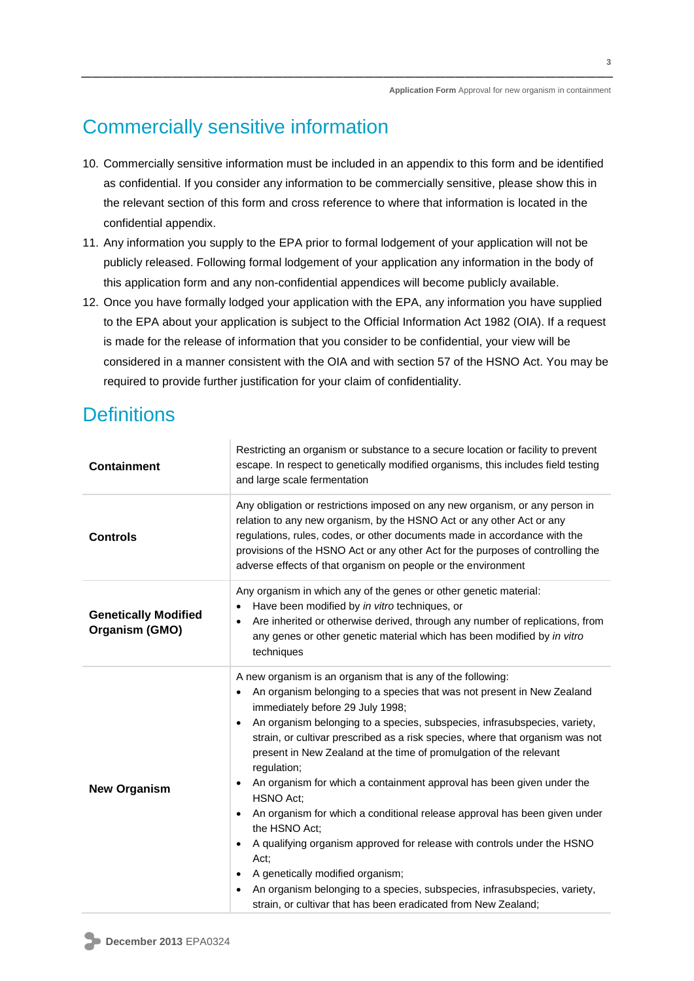# Commercially sensitive information

- 10. Commercially sensitive information must be included in an appendix to this form and be identified as confidential. If you consider any information to be commercially sensitive, please show this in the relevant section of this form and cross reference to where that information is located in the confidential appendix.
- 11. Any information you supply to the EPA prior to formal lodgement of your application will not be publicly released. Following formal lodgement of your application any information in the body of this application form and any non-confidential appendices will become publicly available.
- 12. Once you have formally lodged your application with the EPA, any information you have supplied to the EPA about your application is subject to the Official Information Act 1982 (OIA). If a request is made for the release of information that you consider to be confidential, your view will be considered in a manner consistent with the OIA and with section 57 of the HSNO Act. You may be required to provide further justification for your claim of confidentiality.

# **Definitions**

| <b>Containment</b>                            | Restricting an organism or substance to a secure location or facility to prevent<br>escape. In respect to genetically modified organisms, this includes field testing<br>and large scale fermentation                                                                                                                                                                                                                                                                                                                                                                                                                                                                                                                                                                                                                                                                                                      |  |  |
|-----------------------------------------------|------------------------------------------------------------------------------------------------------------------------------------------------------------------------------------------------------------------------------------------------------------------------------------------------------------------------------------------------------------------------------------------------------------------------------------------------------------------------------------------------------------------------------------------------------------------------------------------------------------------------------------------------------------------------------------------------------------------------------------------------------------------------------------------------------------------------------------------------------------------------------------------------------------|--|--|
| <b>Controls</b>                               | Any obligation or restrictions imposed on any new organism, or any person in<br>relation to any new organism, by the HSNO Act or any other Act or any<br>regulations, rules, codes, or other documents made in accordance with the<br>provisions of the HSNO Act or any other Act for the purposes of controlling the<br>adverse effects of that organism on people or the environment                                                                                                                                                                                                                                                                                                                                                                                                                                                                                                                     |  |  |
| <b>Genetically Modified</b><br>Organism (GMO) | Any organism in which any of the genes or other genetic material:<br>Have been modified by in vitro techniques, or<br>Are inherited or otherwise derived, through any number of replications, from<br>$\bullet$<br>any genes or other genetic material which has been modified by in vitro<br>techniques                                                                                                                                                                                                                                                                                                                                                                                                                                                                                                                                                                                                   |  |  |
| <b>New Organism</b>                           | A new organism is an organism that is any of the following:<br>An organism belonging to a species that was not present in New Zealand<br>immediately before 29 July 1998;<br>An organism belonging to a species, subspecies, infrasubspecies, variety,<br>$\bullet$<br>strain, or cultivar prescribed as a risk species, where that organism was not<br>present in New Zealand at the time of promulgation of the relevant<br>regulation;<br>An organism for which a containment approval has been given under the<br><b>HSNO Act:</b><br>An organism for which a conditional release approval has been given under<br>the HSNO Act;<br>A qualifying organism approved for release with controls under the HSNO<br>Act:<br>A genetically modified organism;<br>An organism belonging to a species, subspecies, infrasubspecies, variety,<br>strain, or cultivar that has been eradicated from New Zealand; |  |  |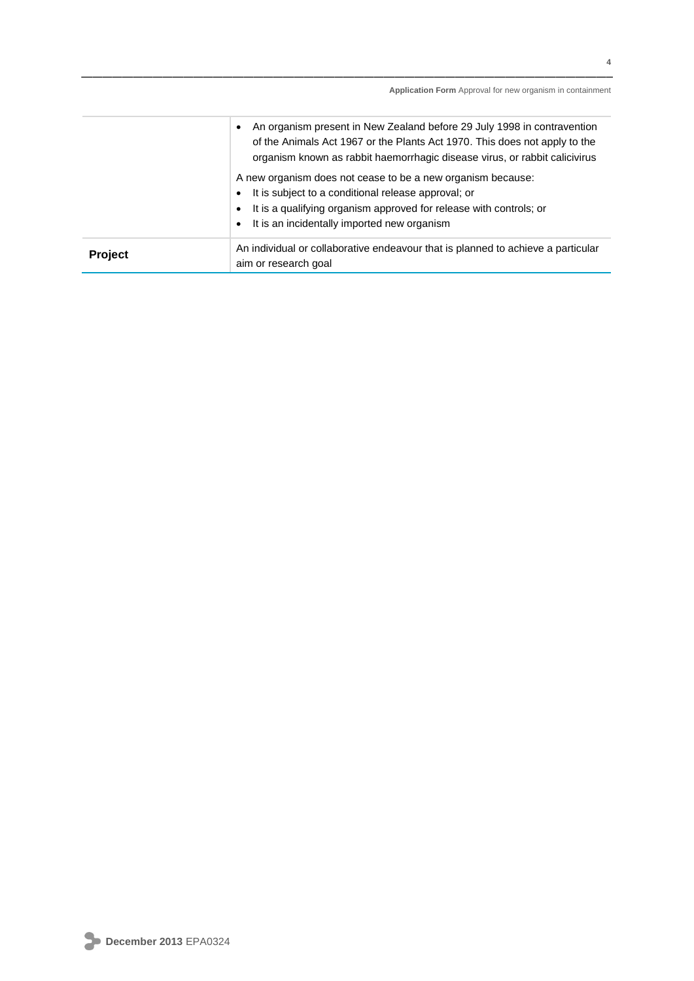|         | An organism present in New Zealand before 29 July 1998 in contravention<br>$\bullet$<br>of the Animals Act 1967 or the Plants Act 1970. This does not apply to the<br>organism known as rabbit haemorrhagic disease virus, or rabbit calicivirus                    |
|---------|---------------------------------------------------------------------------------------------------------------------------------------------------------------------------------------------------------------------------------------------------------------------|
|         | A new organism does not cease to be a new organism because:<br>It is subject to a conditional release approval; or<br>$\bullet$<br>It is a qualifying organism approved for release with controls; or<br>$\bullet$<br>• It is an incidentally imported new organism |
| Project | An individual or collaborative endeavour that is planned to achieve a particular<br>aim or research goal                                                                                                                                                            |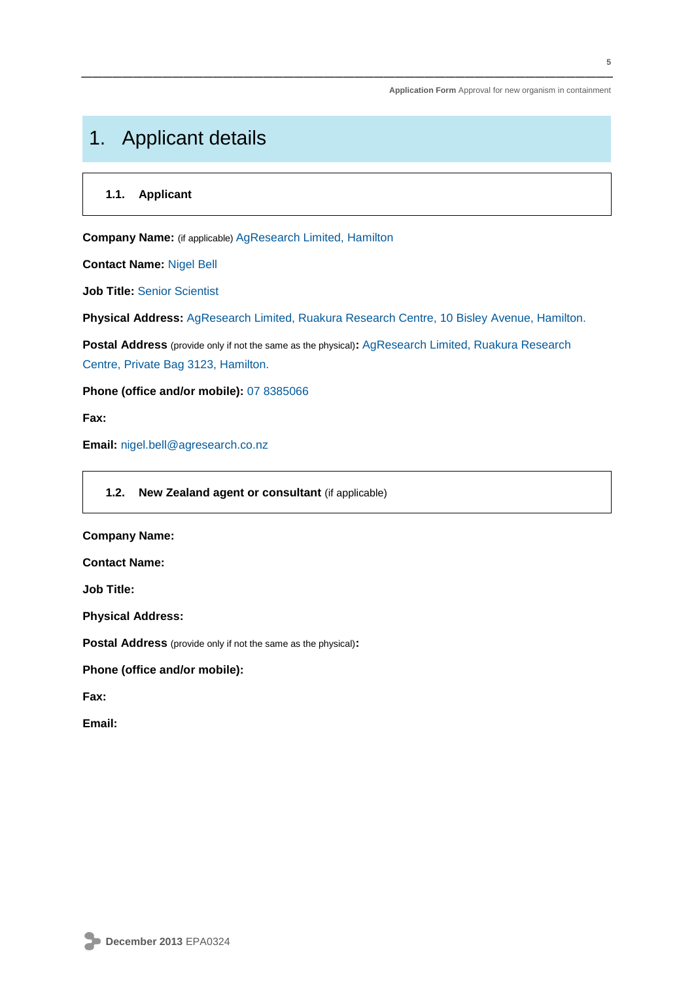# 1. Applicant details

### **1.1. Applicant**

**Company Name:** (if applicable) AgResearch Limited, Hamilton

**Contact Name:** Nigel Bell

**Job Title:** Senior Scientist

**Physical Address:** AgResearch Limited, Ruakura Research Centre, 10 Bisley Avenue, Hamilton.

**Postal Address** (provide only if not the same as the physical)**:** AgResearch Limited, Ruakura Research Centre, Private Bag 3123, Hamilton.

**Phone (office and/or mobile):** 07 8385066

**Fax:**

**Email:** nigel.bell@agresearch.co.nz

### **1.2. New Zealand agent or consultant** (if applicable)

#### **Company Name:**

**Contact Name:**

**Job Title:**

**Physical Address:**

**Postal Address** (provide only if not the same as the physical)**:**

**Phone (office and/or mobile):**

**Fax:**

**Email:**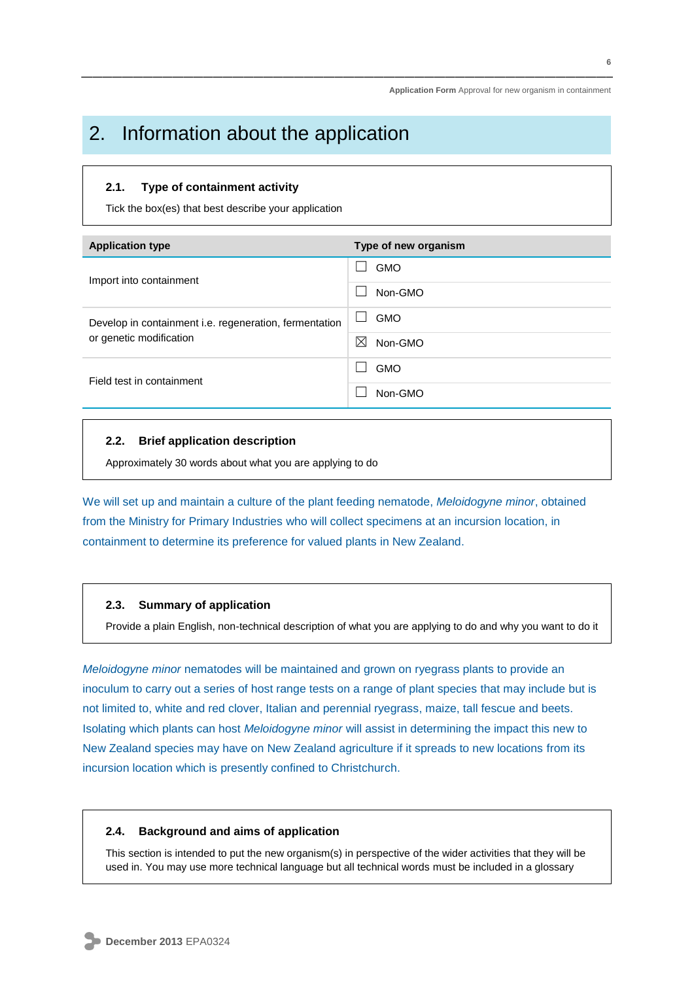## 2. Information about the application

#### **2.1. Type of containment activity**

Tick the box(es) that best describe your application

| <b>Application type</b>                                       | Type of new organism                   |
|---------------------------------------------------------------|----------------------------------------|
|                                                               | <b>GMO</b>                             |
| Import into containment                                       | Non-GMO                                |
| Develop in containment <i>i.e.</i> regeneration, fermentation | <b>GMO</b><br>$\overline{\phantom{a}}$ |
| or genetic modification                                       | ⋈<br>Non-GMO                           |
| Field test in containment                                     | <b>GMO</b>                             |
|                                                               | Non-GMO                                |

#### **2.2. Brief application description**

Approximately 30 words about what you are applying to do

We will set up and maintain a culture of the plant feeding nematode, *Meloidogyne minor*, obtained from the Ministry for Primary Industries who will collect specimens at an incursion location, in containment to determine its preference for valued plants in New Zealand.

#### **2.3. Summary of application**

Provide a plain English, non-technical description of what you are applying to do and why you want to do it

*Meloidogyne minor* nematodes will be maintained and grown on ryegrass plants to provide an inoculum to carry out a series of host range tests on a range of plant species that may include but is not limited to, white and red clover, Italian and perennial ryegrass, maize, tall fescue and beets. Isolating which plants can host *Meloidogyne minor* will assist in determining the impact this new to New Zealand species may have on New Zealand agriculture if it spreads to new locations from its incursion location which is presently confined to Christchurch.

#### **2.4. Background and aims of application**

This section is intended to put the new organism(s) in perspective of the wider activities that they will be used in. You may use more technical language but all technical words must be included in a glossary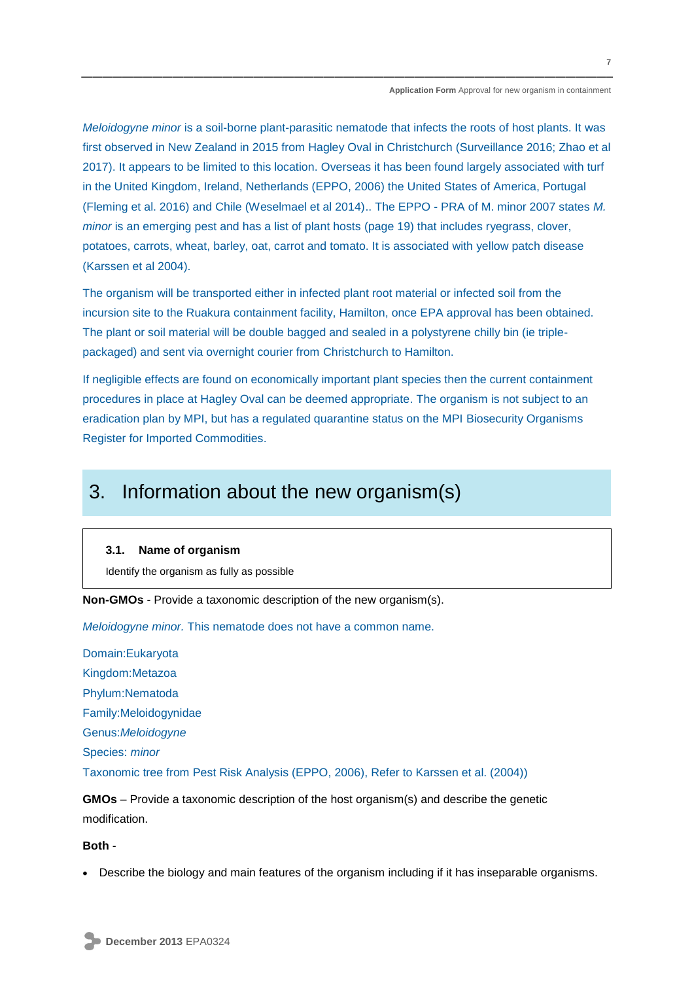*Meloidogyne minor* is a soil-borne plant-parasitic nematode that infects the roots of host plants. It was first observed in New Zealand in 2015 from Hagley Oval in Christchurch (Surveillance 2016; Zhao et al 2017). It appears to be limited to this location. Overseas it has been found largely associated with turf in the United Kingdom, Ireland, Netherlands (EPPO, 2006) the United States of America, Portugal (Fleming et al. 2016) and Chile (Weselmael et al 2014).. The EPPO - PRA of M. minor 2007 states *M. minor* is an emerging pest and has a list of plant hosts (page 19) that includes ryegrass, clover, potatoes, carrots, wheat, barley, oat, carrot and tomato. It is associated with yellow patch disease (Karssen et al 2004).

The organism will be transported either in infected plant root material or infected soil from the incursion site to the Ruakura containment facility, Hamilton, once EPA approval has been obtained. The plant or soil material will be double bagged and sealed in a polystyrene chilly bin (ie triplepackaged) and sent via overnight courier from Christchurch to Hamilton.

If negligible effects are found on economically important plant species then the current containment procedures in place at Hagley Oval can be deemed appropriate. The organism is not subject to an eradication plan by MPI, but has a regulated quarantine status on the MPI Biosecurity Organisms Register for Imported Commodities.

## 3. Information about the new organism(s)

### **3.1. Name of organism**

Identify the organism as fully as possible

**Non-GMOs** - Provide a taxonomic description of the new organism(s).

*Meloidogyne minor.* This nematode does not have a common name.

Domain:Eukaryota Kingdom:Metazoa Phylum:Nematoda Family:Meloidogynidae Genus:*Meloidogyne* Species: *minor*  Taxonomic tree from Pest Risk Analysis (EPPO, 2006), Refer to Karssen et al. (2004))

**GMOs** – Provide a taxonomic description of the host organism(s) and describe the genetic modification.

#### **Both** -

Describe the biology and main features of the organism including if it has inseparable organisms.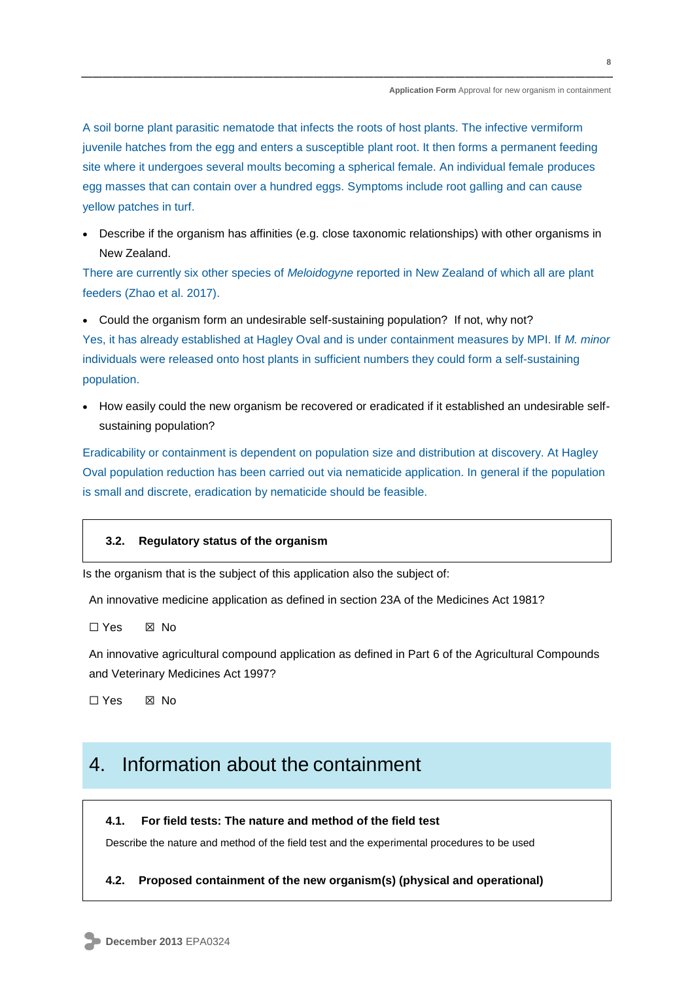A soil borne plant parasitic nematode that infects the roots of host plants. The infective vermiform juvenile hatches from the egg and enters a susceptible plant root. It then forms a permanent feeding site where it undergoes several moults becoming a spherical female. An individual female produces egg masses that can contain over a hundred eggs. Symptoms include root galling and can cause yellow patches in turf.

 Describe if the organism has affinities (e.g. close taxonomic relationships) with other organisms in New Zealand.

There are currently six other species of *Meloidogyne* reported in New Zealand of which all are plant feeders (Zhao et al. 2017).

 Could the organism form an undesirable self-sustaining population? If not, why not? Yes, it has already established at Hagley Oval and is under containment measures by MPI. If *M. minor* individuals were released onto host plants in sufficient numbers they could form a self-sustaining population.

• How easily could the new organism be recovered or eradicated if it established an undesirable selfsustaining population?

Eradicability or containment is dependent on population size and distribution at discovery. At Hagley Oval population reduction has been carried out via nematicide application. In general if the population is small and discrete, eradication by nematicide should be feasible.

#### **3.2. Regulatory status of the organism**

Is the organism that is the subject of this application also the subject of:

An innovative medicine application as defined in section 23A of the Medicines Act 1981?

☐ Yes ☒ No

An innovative agricultural compound application as defined in Part 6 of the Agricultural Compounds and Veterinary Medicines Act 1997?

☐ Yes ☒ No

## 4. Information about the containment

#### **4.1. For field tests: The nature and method of the field test**

Describe the nature and method of the field test and the experimental procedures to be used

#### **4.2. Proposed containment of the new organism(s) (physical and operational)**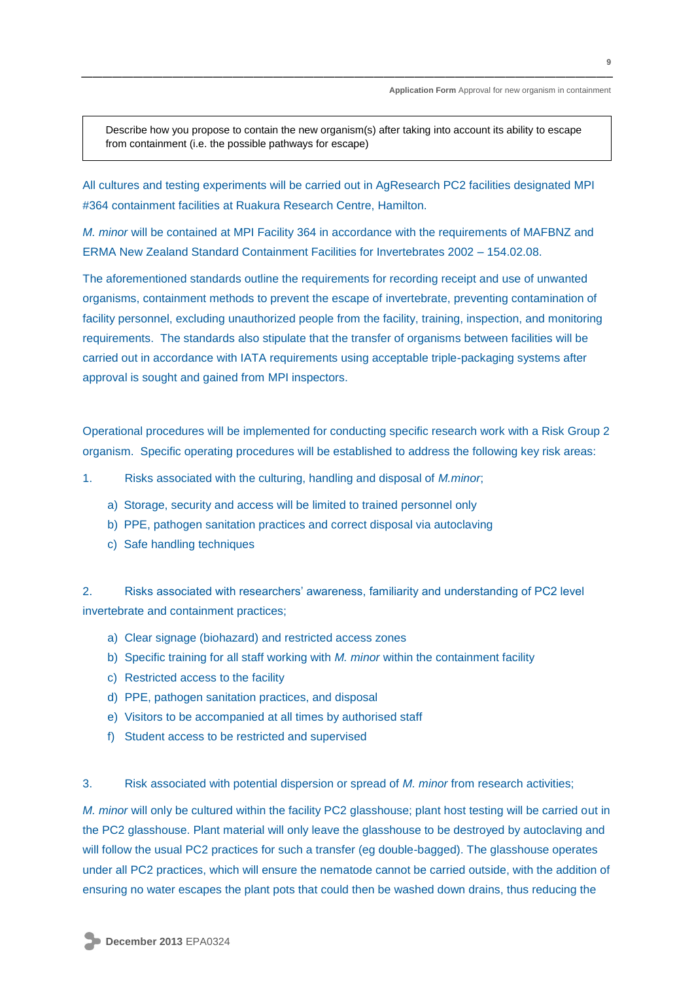Describe how you propose to contain the new organism(s) after taking into account its ability to escape from containment (i.e. the possible pathways for escape)

All cultures and testing experiments will be carried out in AgResearch PC2 facilities designated MPI #364 containment facilities at Ruakura Research Centre, Hamilton.

*M. minor* will be contained at MPI Facility 364 in accordance with the requirements of MAFBNZ and ERMA New Zealand Standard Containment Facilities for Invertebrates 2002 – 154.02.08.

The aforementioned standards outline the requirements for recording receipt and use of unwanted organisms, containment methods to prevent the escape of invertebrate, preventing contamination of facility personnel, excluding unauthorized people from the facility, training, inspection, and monitoring requirements. The standards also stipulate that the transfer of organisms between facilities will be carried out in accordance with IATA requirements using acceptable triple-packaging systems after approval is sought and gained from MPI inspectors.

Operational procedures will be implemented for conducting specific research work with a Risk Group 2 organism. Specific operating procedures will be established to address the following key risk areas:

- 1. Risks associated with the culturing, handling and disposal of *M.minor*;
	- a) Storage, security and access will be limited to trained personnel only
	- b) PPE, pathogen sanitation practices and correct disposal via autoclaving
	- c) Safe handling techniques

2. Risks associated with researchers' awareness, familiarity and understanding of PC2 level invertebrate and containment practices;

- a) Clear signage (biohazard) and restricted access zones
- b) Specific training for all staff working with *M. minor* within the containment facility
- c) Restricted access to the facility
- d) PPE, pathogen sanitation practices, and disposal
- e) Visitors to be accompanied at all times by authorised staff
- f) Student access to be restricted and supervised

#### 3. Risk associated with potential dispersion or spread of *M. minor* from research activities;

*M. minor* will only be cultured within the facility PC2 glasshouse; plant host testing will be carried out in the PC2 glasshouse. Plant material will only leave the glasshouse to be destroyed by autoclaving and will follow the usual PC2 practices for such a transfer (eg double-bagged). The glasshouse operates under all PC2 practices, which will ensure the nematode cannot be carried outside, with the addition of ensuring no water escapes the plant pots that could then be washed down drains, thus reducing the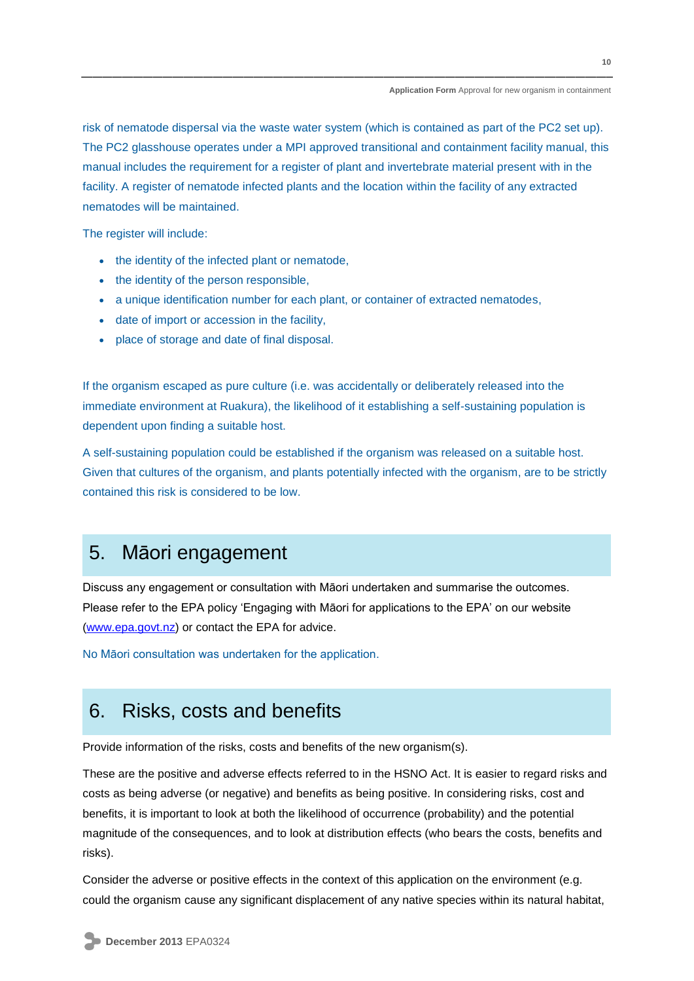risk of nematode dispersal via the waste water system (which is contained as part of the PC2 set up). The PC2 glasshouse operates under a MPI approved transitional and containment facility manual, this manual includes the requirement for a register of plant and invertebrate material present with in the facility. A register of nematode infected plants and the location within the facility of any extracted nematodes will be maintained.

The register will include:

- the identity of the infected plant or nematode,
- the identity of the person responsible,
- a unique identification number for each plant, or container of extracted nematodes,
- date of import or accession in the facility,
- place of storage and date of final disposal.

If the organism escaped as pure culture (i.e. was accidentally or deliberately released into the immediate environment at Ruakura), the likelihood of it establishing a self-sustaining population is dependent upon finding a suitable host.

A self-sustaining population could be established if the organism was released on a suitable host. Given that cultures of the organism, and plants potentially infected with the organism, are to be strictly contained this risk is considered to be low.

### 5. Māori engagement

Discuss any engagement or consultation with Māori undertaken and summarise the outcomes. Please refer to the EPA policy 'Engaging with Māori for applications to the EPA' on our website [\(www.epa.govt.nz\)](http://www.epa.govt.nz/) or contact the EPA for advice.

No Māori consultation was undertaken for the application.

## 6. Risks, costs and benefits

Provide information of the risks, costs and benefits of the new organism(s).

These are the positive and adverse effects referred to in the HSNO Act. It is easier to regard risks and costs as being adverse (or negative) and benefits as being positive. In considering risks, cost and benefits, it is important to look at both the likelihood of occurrence (probability) and the potential magnitude of the consequences, and to look at distribution effects (who bears the costs, benefits and risks).

Consider the adverse or positive effects in the context of this application on the environment (e.g. could the organism cause any significant displacement of any native species within its natural habitat,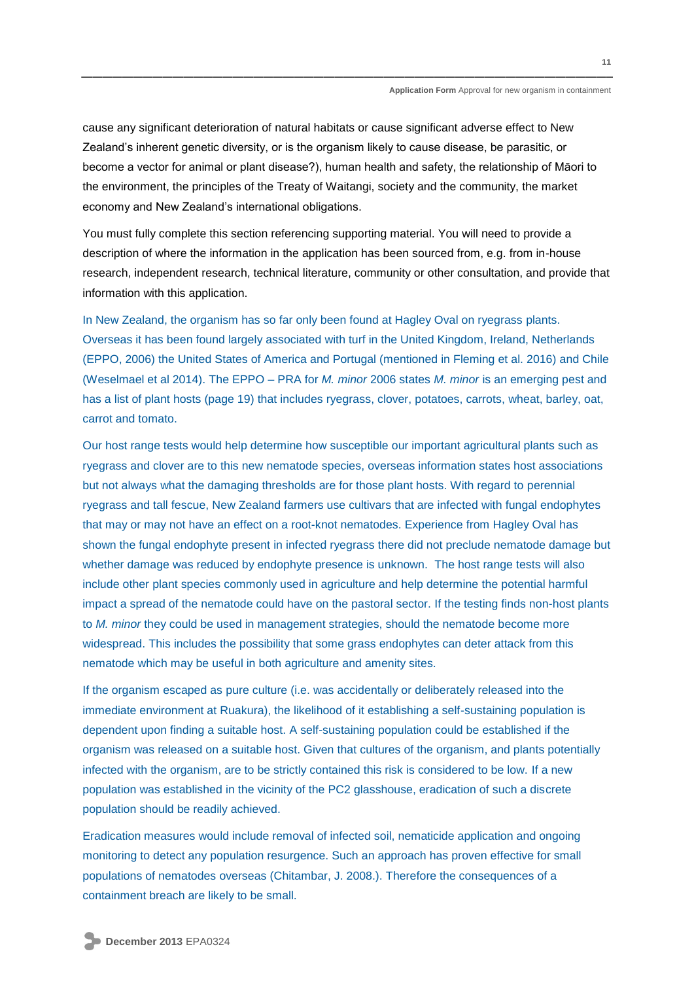cause any significant deterioration of natural habitats or cause significant adverse effect to New Zealand's inherent genetic diversity, or is the organism likely to cause disease, be parasitic, or become a vector for animal or plant disease?), human health and safety, the relationship of Māori to the environment, the principles of the Treaty of Waitangi, society and the community, the market economy and New Zealand's international obligations.

You must fully complete this section referencing supporting material. You will need to provide a description of where the information in the application has been sourced from, e.g. from in-house research, independent research, technical literature, community or other consultation, and provide that information with this application.

In New Zealand, the organism has so far only been found at Hagley Oval on ryegrass plants. Overseas it has been found largely associated with turf in the United Kingdom, Ireland, Netherlands (EPPO, 2006) the United States of America and Portugal (mentioned in Fleming et al. 2016) and Chile (Weselmael et al 2014). The EPPO – PRA for *M. minor* 2006 states *M. minor* is an emerging pest and has a list of plant hosts (page 19) that includes ryegrass, clover, potatoes, carrots, wheat, barley, oat, carrot and tomato.

Our host range tests would help determine how susceptible our important agricultural plants such as ryegrass and clover are to this new nematode species, overseas information states host associations but not always what the damaging thresholds are for those plant hosts. With regard to perennial ryegrass and tall fescue, New Zealand farmers use cultivars that are infected with fungal endophytes that may or may not have an effect on a root-knot nematodes. Experience from Hagley Oval has shown the fungal endophyte present in infected ryegrass there did not preclude nematode damage but whether damage was reduced by endophyte presence is unknown. The host range tests will also include other plant species commonly used in agriculture and help determine the potential harmful impact a spread of the nematode could have on the pastoral sector. If the testing finds non-host plants to *M. minor* they could be used in management strategies, should the nematode become more widespread. This includes the possibility that some grass endophytes can deter attack from this nematode which may be useful in both agriculture and amenity sites.

If the organism escaped as pure culture (i.e. was accidentally or deliberately released into the immediate environment at Ruakura), the likelihood of it establishing a self-sustaining population is dependent upon finding a suitable host. A self-sustaining population could be established if the organism was released on a suitable host. Given that cultures of the organism, and plants potentially infected with the organism, are to be strictly contained this risk is considered to be low. If a new population was established in the vicinity of the PC2 glasshouse, eradication of such a discrete population should be readily achieved.

Eradication measures would include removal of infected soil, nematicide application and ongoing monitoring to detect any population resurgence. Such an approach has proven effective for small populations of nematodes overseas (Chitambar, J. 2008.). Therefore the consequences of a containment breach are likely to be small.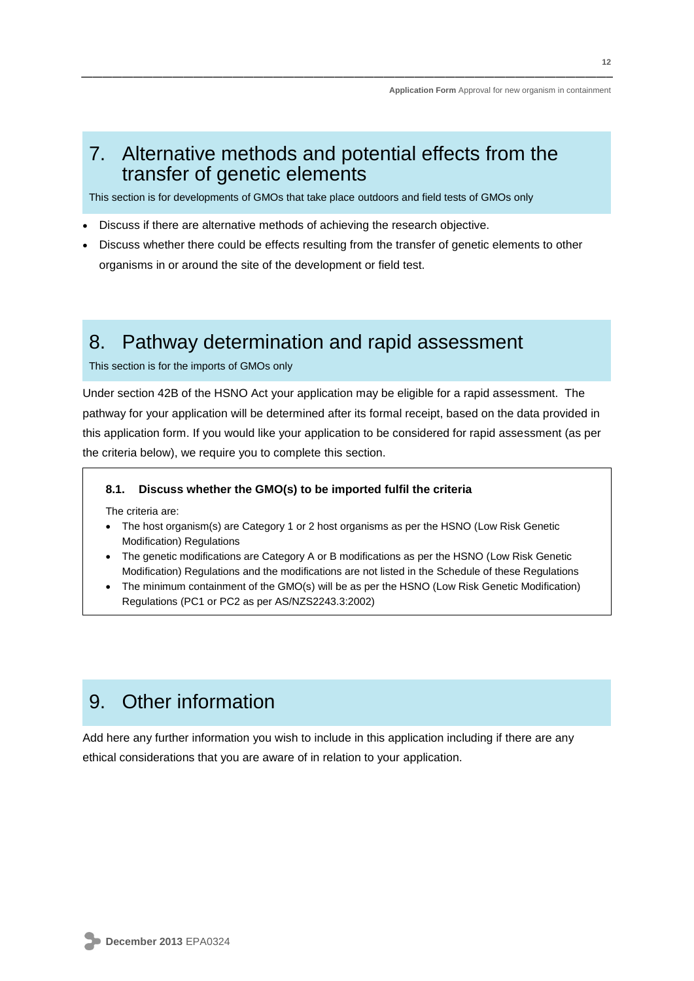## 7. Alternative methods and potential effects from the transfer of genetic elements

This section is for developments of GMOs that take place outdoors and field tests of GMOs only

- Discuss if there are alternative methods of achieving the research objective.
- Discuss whether there could be effects resulting from the transfer of genetic elements to other organisms in or around the site of the development or field test.

## 8. Pathway determination and rapid assessment

#### This section is for the imports of GMOs only

Under section 42B of the HSNO Act your application may be eligible for a rapid assessment. The pathway for your application will be determined after its formal receipt, based on the data provided in this application form. If you would like your application to be considered for rapid assessment (as per the criteria below), we require you to complete this section.

#### **8.1. Discuss whether the GMO(s) to be imported fulfil the criteria**

The criteria are:

- The host organism(s) are Category 1 or 2 host organisms as per the HSNO (Low Risk Genetic Modification) Regulations
- The genetic modifications are Category A or B modifications as per the HSNO (Low Risk Genetic Modification) Regulations and the modifications are not listed in the Schedule of these Regulations
- The minimum containment of the GMO(s) will be as per the HSNO (Low Risk Genetic Modification) Regulations (PC1 or PC2 as per AS/NZS2243.3:2002)

## 9. Other information

Add here any further information you wish to include in this application including if there are any ethical considerations that you are aware of in relation to your application.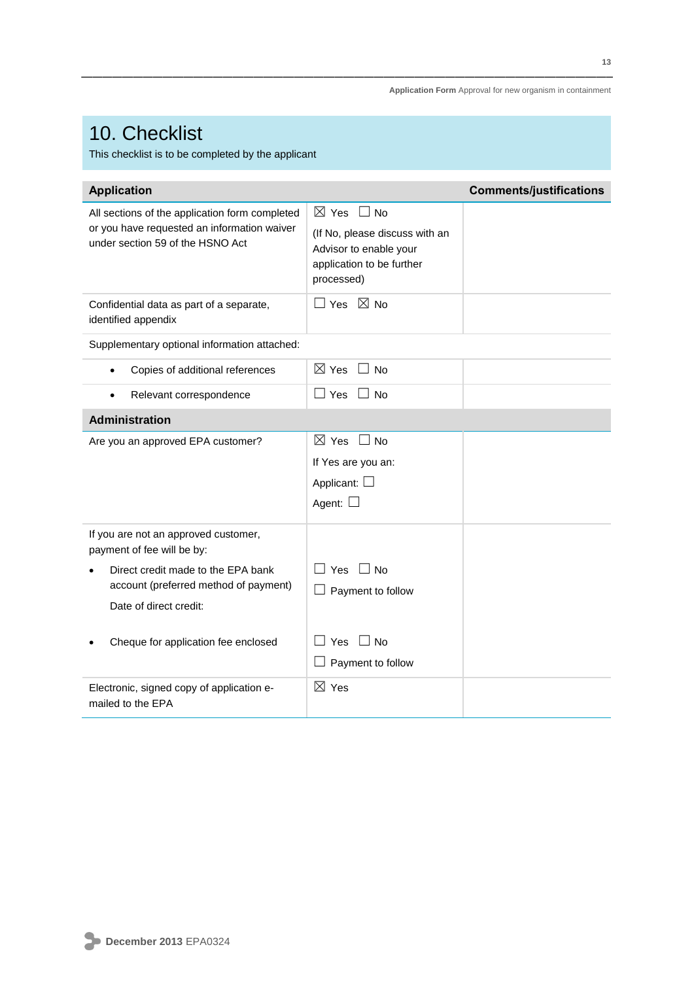# 10. Checklist

This checklist is to be completed by the applicant

| <b>Application</b>                                                                                                                |                                                                                                                                      | <b>Comments/justifications</b> |
|-----------------------------------------------------------------------------------------------------------------------------------|--------------------------------------------------------------------------------------------------------------------------------------|--------------------------------|
| All sections of the application form completed<br>or you have requested an information waiver<br>under section 59 of the HSNO Act | $\boxtimes$ Yes<br>$\perp$ No<br>(If No, please discuss with an<br>Advisor to enable your<br>application to be further<br>processed) |                                |
| Confidential data as part of a separate,<br>identified appendix                                                                   | $\Box$ Yes $\boxtimes$ No                                                                                                            |                                |
| Supplementary optional information attached:                                                                                      |                                                                                                                                      |                                |
| Copies of additional references<br>$\bullet$                                                                                      | $\boxtimes$ Yes $\Box$ No                                                                                                            |                                |
| Relevant correspondence<br>$\bullet$                                                                                              | Yes     No                                                                                                                           |                                |
| <b>Administration</b>                                                                                                             |                                                                                                                                      |                                |
| Are you an approved EPA customer?                                                                                                 | $\boxtimes$ Yes<br>$\Box$ No<br>If Yes are you an:<br>Applicant: $\Box$<br>Agent: $\square$                                          |                                |
| If you are not an approved customer,<br>payment of fee will be by:                                                                |                                                                                                                                      |                                |
| Direct credit made to the EPA bank<br>account (preferred method of payment)<br>Date of direct credit:                             | $\square$ Yes $\square$ No<br>$\Box$ Payment to follow                                                                               |                                |
| Cheque for application fee enclosed                                                                                               | Yes<br>$\Box$ No<br>Payment to follow                                                                                                |                                |
| Electronic, signed copy of application e-<br>mailed to the EPA                                                                    | $\boxtimes$ Yes                                                                                                                      |                                |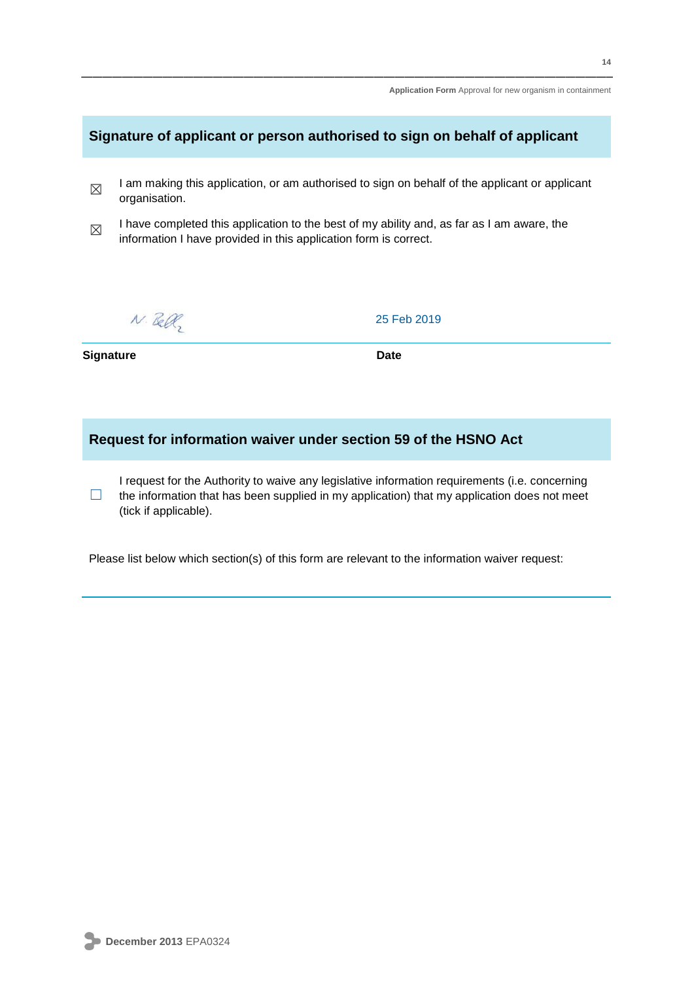### **Signature of applicant or person authorised to sign on behalf of applicant**

- ☒ I am making this application, or am authorised to sign on behalf of the applicant or applicant organisation.
- ☒ I have completed this application to the best of my ability and, as far as I am aware, the information I have provided in this application form is correct.

 $N.$  Bell,

25 Feb 2019

**Signature Date** 

### **Request for information waiver under section 59 of the HSNO Act**

 $\Box$ I request for the Authority to waive any legislative information requirements (i.e. concerning the information that has been supplied in my application) that my application does not meet (tick if applicable).

Please list below which section(s) of this form are relevant to the information waiver request: